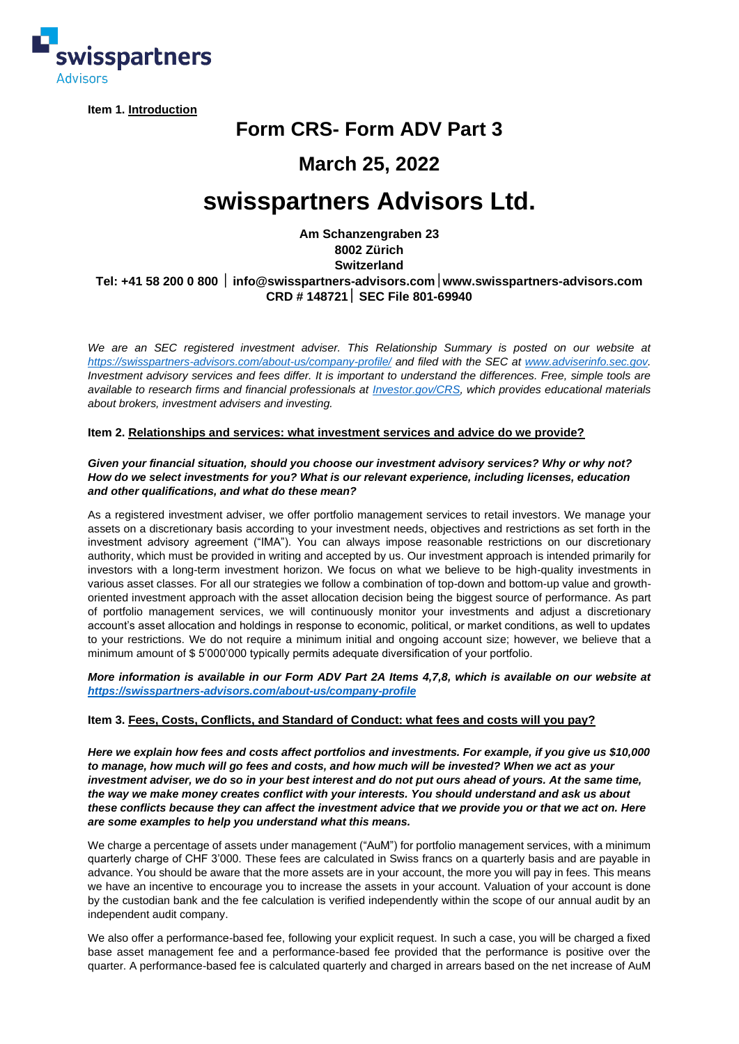

**Item 1. Introduction**

# **Form CRS- Form ADV Part 3**

# **March 25, 2022**

# **swisspartners Advisors Ltd.**

# **Am Schanzengraben 23 8002 Zürich Switzerland Tel: +41 58 200 0 800 info@swisspartners-advisors.comwww.swisspartners-advisors.com CRD # 148721 SEC File 801-69940**

We are an SEC registered investment adviser. This Relationship Summary is posted on our website at *<https://swisspartners-advisors.com/about-us/company-profile/> and filed with the SEC at [www.adviserinfo.sec.gov.](http://www.adviserinfo.sec.gov/) Investment advisory services and fees differ. It is important to understand the differences. Free, simple tools are available to research firms and financial professionals at [Investor.gov/CRS,](https://www.investor.gov/home/welcome-investor-gov-crs) which provides educational materials about brokers, investment advisers and investing.*

# **Item 2. Relationships and services: what investment services and advice do we provide?**

#### *Given your financial situation, should you choose our investment advisory services? Why or why not? How do we select investments for you? What is our relevant experience, including licenses, education and other qualifications, and what do these mean?*

As a registered investment adviser, we offer portfolio management services to retail investors. We manage your assets on a discretionary basis according to your investment needs, objectives and restrictions as set forth in the investment advisory agreement ("IMA"). You can always impose reasonable restrictions on our discretionary authority, which must be provided in writing and accepted by us. Our investment approach is intended primarily for investors with a long-term investment horizon. We focus on what we believe to be high-quality investments in various asset classes. For all our strategies we follow a combination of top-down and bottom-up value and growthoriented investment approach with the asset allocation decision being the biggest source of performance. As part of portfolio management services, we will continuously monitor your investments and adjust a discretionary account's asset allocation and holdings in response to economic, political, or market conditions, as well to updates to your restrictions. We do not require a minimum initial and ongoing account size; however, we believe that a minimum amount of \$ 5'000'000 typically permits adequate diversification of your portfolio.

*More information is available in our Form ADV Part 2A Items 4,7,8, which is available on our website at [https://swisspartners-advisors.com/about-us/company-profile](https://swisspartners-advisors.com/about-us/company-profile/)*

# **Item 3. Fees, Costs, Conflicts, and Standard of Conduct: what fees and costs will you pay?**

*Here we explain how fees and costs affect portfolios and investments. For example, if you give us \$10,000 to manage, how much will go fees and costs, and how much will be invested? When we act as your investment adviser, we do so in your best interest and do not put ours ahead of yours. At the same time, the way we make money creates conflict with your interests. You should understand and ask us about these conflicts because they can affect the investment advice that we provide you or that we act on. Here are some examples to help you understand what this means.*

We charge a percentage of assets under management ("AuM") for portfolio management services, with a minimum quarterly charge of CHF 3'000. These fees are calculated in Swiss francs on a quarterly basis and are payable in advance. You should be aware that the more assets are in your account, the more you will pay in fees. This means we have an incentive to encourage you to increase the assets in your account. Valuation of your account is done by the custodian bank and the fee calculation is verified independently within the scope of our annual audit by an independent audit company.

We also offer a performance-based fee, following your explicit request. In such a case, you will be charged a fixed base asset management fee and a performance-based fee provided that the performance is positive over the quarter. A performance-based fee is calculated quarterly and charged in arrears based on the net increase of AuM